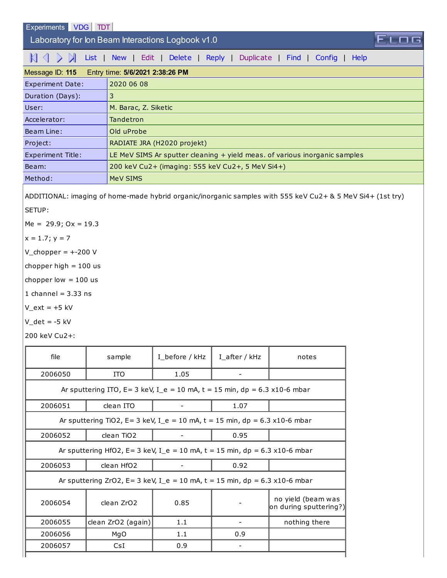[Experiments](http://sim1.zef.irb.hr:8080/Experiments/) **[VDG](http://sim1.zef.irb.hr:8080/VDG/)** [TDT](http://sim1.zef.irb.hr:8080/TDT/)

Laboratory for Ion Beam Interactions Logbook v1.0

 $\mathbb{K} \leq \mathbb{K}$  [List](http://sim1.zef.irb.hr:8080/Experiments/?id=115) | [New](http://sim1.zef.irb.hr:8080/Experiments/115?cmd=New) | [Edit](http://sim1.zef.irb.hr:8080/Experiments/115?cmd=Edit) | [Delete](http://sim1.zef.irb.hr:8080/Experiments/115?cmd=Delete) | [Reply](http://sim1.zef.irb.hr:8080/Experiments/115?cmd=Reply) | [Duplicate](http://sim1.zef.irb.hr:8080/Experiments/115?cmd=Duplicate) | [Find](http://sim1.zef.irb.hr:8080/Experiments/115?cmd=Find) | [Config](http://sim1.zef.irb.hr:8080/Experiments/115?cmd=Config) | [Help](http://sim1.zef.irb.hr:8080/Experiments/115?cmd=Help)

| Entry time: 5/6/2021 2:38:26 PM<br>Message ID: 115 |                                                                            |  |  |  |
|----------------------------------------------------|----------------------------------------------------------------------------|--|--|--|
| <b>Experiment Date:</b>                            | 2020 06 08                                                                 |  |  |  |
| Duration (Days):                                   | 3                                                                          |  |  |  |
| User:                                              | M. Barac, Z. Siketic                                                       |  |  |  |
| Accelerator:                                       | Tandetron                                                                  |  |  |  |
| Beam Line:                                         | Old uProbe                                                                 |  |  |  |
| Project:                                           | RADIATE JRA (H2020 projekt)                                                |  |  |  |
| <b>Experiment Title:</b>                           | LE MeV SIMS Ar sputter cleaning + yield meas. of various inorganic samples |  |  |  |
| Beam:                                              | 200 keV Cu2+ (imaging: 555 keV Cu2+, 5 MeV Si4+)                           |  |  |  |
| Method:                                            | MeV SIMS                                                                   |  |  |  |

FIO

ADDITIONAL: imaging of home-made hybrid organic/inorganic samples with 555 keV Cu2+ & 5 MeV Si4+ (1st try)

SETUP:

 $Me = 29.9$ ;  $Ox = 19.3$ 

$$
x=1.7; y=7
$$

 $V_{\text{}}$ chopper = +-200 V

chopper high  $= 100$  us

chopper low  $= 100$  us

1 channel =  $3.33$  ns

 $V_{ext} = +5$  kV

 $V_d$ det = -5 kV

200 keV Cu2+:

| file                                                                          | sample                 | I_before / kHz | $I_{a}$ fter / kHz | notes                                        |  |
|-------------------------------------------------------------------------------|------------------------|----------------|--------------------|----------------------------------------------|--|
| 2006050                                                                       | <b>ITO</b>             | 1.05           |                    |                                              |  |
| Ar sputtering ITO, $E = 3$ keV, I_e = 10 mA, t = 15 min, dp = 6.3 x10-6 mbar  |                        |                |                    |                                              |  |
| 2006051                                                                       | clean ITO              |                | 1.07               |                                              |  |
| Ar sputtering TiO2, E= 3 keV, I_e = 10 mA, t = 15 min, dp = 6.3 x10-6 mbar    |                        |                |                    |                                              |  |
| 2006052                                                                       | clean TiO <sub>2</sub> |                | 0.95               |                                              |  |
| Ar sputtering HfO2, $E = 3$ keV, I_e = 10 mA, t = 15 min, dp = 6.3 x10-6 mbar |                        |                |                    |                                              |  |
| 2006053                                                                       | clean HfO <sub>2</sub> |                | 0.92               |                                              |  |
| Ar sputtering ZrO2, E= 3 keV, I_e = 10 mA, t = 15 min, dp = 6.3 x10-6 mbar    |                        |                |                    |                                              |  |
| 2006054                                                                       | clean ZrO2             | 0.85           |                    | no yield (beam was<br>on during sputtering?) |  |
| 2006055                                                                       | clean ZrO2 (again)     | 1.1            |                    | nothing there                                |  |
| 2006056                                                                       | MgO                    | 1.1            | 0.9                |                                              |  |
| 2006057                                                                       | CsI                    | 0.9            |                    |                                              |  |